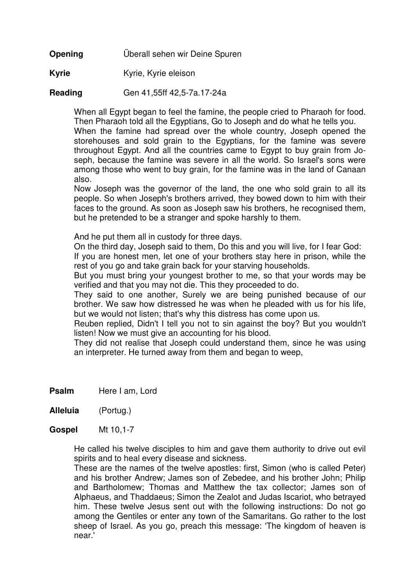| Opening | Uberall sehen wir Deine Spuren |
|---------|--------------------------------|
|---------|--------------------------------|

**Kyrie** Kyrie, Kyrie eleison

**Reading** Gen 41,55ff 42,5-7a.17-24a

When all Egypt began to feel the famine, the people cried to Pharaoh for food. Then Pharaoh told all the Egyptians, Go to Joseph and do what he tells you. When the famine had spread over the whole country, Joseph opened the storehouses and sold grain to the Egyptians, for the famine was severe throughout Egypt. And all the countries came to Egypt to buy grain from Joseph, because the famine was severe in all the world. So Israel's sons were among those who went to buy grain, for the famine was in the land of Canaan also.

Now Joseph was the governor of the land, the one who sold grain to all its people. So when Joseph's brothers arrived, they bowed down to him with their faces to the ground. As soon as Joseph saw his brothers, he recognised them, but he pretended to be a stranger and spoke harshly to them.

And he put them all in custody for three days.

On the third day, Joseph said to them, Do this and you will live, for I fear God:

If you are honest men, let one of your brothers stay here in prison, while the rest of you go and take grain back for your starving households.

But you must bring your youngest brother to me, so that your words may be verified and that you may not die. This they proceeded to do.

They said to one another, Surely we are being punished because of our brother. We saw how distressed he was when he pleaded with us for his life, but we would not listen; that's why this distress has come upon us.

Reuben replied, Didn't I tell you not to sin against the boy? But you wouldn't listen! Now we must give an accounting for his blood.

They did not realise that Joseph could understand them, since he was using an interpreter. He turned away from them and began to weep,

**Psalm** Here I am, Lord

**Alleluia** (Portug.)

**Gospel** Mt 10,1-7

He called his twelve disciples to him and gave them authority to drive out evil spirits and to heal every disease and sickness.

These are the names of the twelve apostles: first, Simon (who is called Peter) and his brother Andrew; James son of Zebedee, and his brother John; Philip and Bartholomew; Thomas and Matthew the tax collector; James son of Alphaeus, and Thaddaeus; Simon the Zealot and Judas Iscariot, who betrayed him. These twelve Jesus sent out with the following instructions: Do not go among the Gentiles or enter any town of the Samaritans. Go rather to the lost sheep of Israel. As you go, preach this message: 'The kingdom of heaven is near.'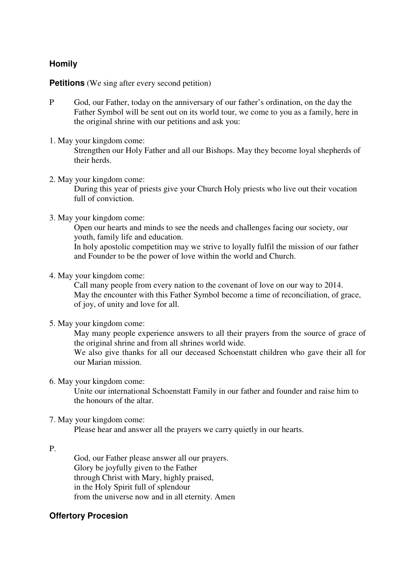## **Homily**

**Petitions** (We sing after every second petition)

- P God, our Father, today on the anniversary of our father's ordination, on the day the Father Symbol will be sent out on its world tour, we come to you as a family, here in the original shrine with our petitions and ask you:
- 1. May your kingdom come:

Strengthen our Holy Father and all our Bishops. May they become loyal shepherds of their herds.

2. May your kingdom come:

During this year of priests give your Church Holy priests who live out their vocation full of conviction.

3. May your kingdom come:

Open our hearts and minds to see the needs and challenges facing our society, our youth, family life and education.

In holy apostolic competition may we strive to loyally fulfil the mission of our father and Founder to be the power of love within the world and Church.

4. May your kingdom come:

Call many people from every nation to the covenant of love on our way to 2014. May the encounter with this Father Symbol become a time of reconciliation, of grace, of joy, of unity and love for all.

5. May your kingdom come:

May many people experience answers to all their prayers from the source of grace of the original shrine and from all shrines world wide.

We also give thanks for all our deceased Schoenstatt children who gave their all for our Marian mission.

#### 6. May your kingdom come:

Unite our international Schoenstatt Family in our father and founder and raise him to the honours of the altar.

### 7. May your kingdom come:

Please hear and answer all the prayers we carry quietly in our hearts.

P.

God, our Father please answer all our prayers. Glory be joyfully given to the Father through Christ with Mary, highly praised, in the Holy Spirit full of splendour from the universe now and in all eternity. Amen

### **Offertory Procesion**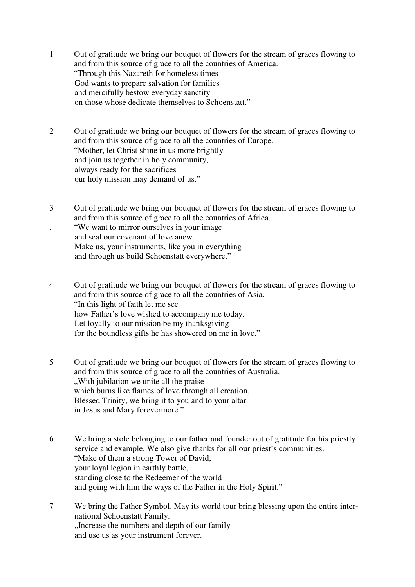- 1 Out of gratitude we bring our bouquet of flowers for the stream of graces flowing to and from this source of grace to all the countries of America. "Through this Nazareth for homeless times God wants to prepare salvation for families and mercifully bestow everyday sanctity on those whose dedicate themselves to Schoenstatt."
- 2 Out of gratitude we bring our bouquet of flowers for the stream of graces flowing to and from this source of grace to all the countries of Europe. "Mother, let Christ shine in us more brightly and join us together in holy community, always ready for the sacrifices our holy mission may demand of us."
- 3 Out of gratitude we bring our bouquet of flowers for the stream of graces flowing to and from this source of grace to all the countries of Africa. . "We want to mirror ourselves in your image and seal our covenant of love anew. Make us, your instruments, like you in everything and through us build Schoenstatt everywhere."
- 4 Out of gratitude we bring our bouquet of flowers for the stream of graces flowing to and from this source of grace to all the countries of Asia. "In this light of faith let me see how Father's love wished to accompany me today. Let loyally to our mission be my thanksgiving for the boundless gifts he has showered on me in love."
- 5 Out of gratitude we bring our bouquet of flowers for the stream of graces flowing to and from this source of grace to all the countries of Australia. ", With jubilation we unite all the praise which burns like flames of love through all creation. Blessed Trinity, we bring it to you and to your altar in Jesus and Mary forevermore."
- 6 We bring a stole belonging to our father and founder out of gratitude for his priestly service and example. We also give thanks for all our priest's communities. "Make of them a strong Tower of David, your loyal legion in earthly battle, standing close to the Redeemer of the world and going with him the ways of the Father in the Holy Spirit."
- 7 We bring the Father Symbol. May its world tour bring blessing upon the entire international Schoenstatt Family. "Increase the numbers and depth of our family and use us as your instrument forever.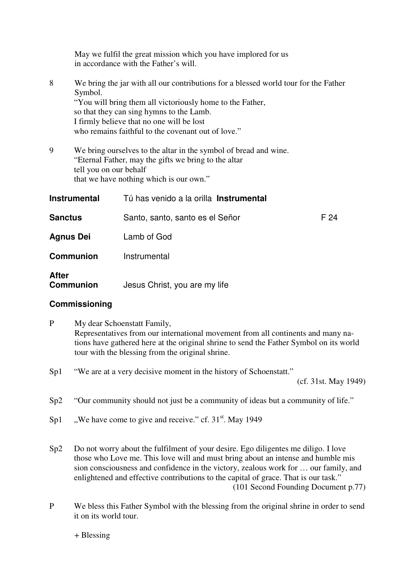|                     |                                                                                                                                                                                                                                                                                                            | May we fulfil the great mission which you have implored for us<br>in accordance with the Father's will.                                                                                       |      |
|---------------------|------------------------------------------------------------------------------------------------------------------------------------------------------------------------------------------------------------------------------------------------------------------------------------------------------------|-----------------------------------------------------------------------------------------------------------------------------------------------------------------------------------------------|------|
| 8                   | We bring the jar with all our contributions for a blessed world tour for the Father<br>Symbol.<br>"You will bring them all victoriously home to the Father,<br>so that they can sing hymns to the Lamb.<br>I firmly believe that no one will be lost<br>who remains faithful to the covenant out of love." |                                                                                                                                                                                               |      |
| 9                   |                                                                                                                                                                                                                                                                                                            | We bring ourselves to the altar in the symbol of bread and wine.<br>"Eternal Father, may the gifts we bring to the altar<br>tell you on our behalf<br>that we have nothing which is our own." |      |
| <b>Instrumental</b> |                                                                                                                                                                                                                                                                                                            | Tú has venido a la orilla Instrumental                                                                                                                                                        |      |
| <b>Sanctus</b>      |                                                                                                                                                                                                                                                                                                            | Santo, santo, santo es el Señor                                                                                                                                                               | F 24 |
| <b>Agnus Dei</b>    |                                                                                                                                                                                                                                                                                                            | Lamb of God                                                                                                                                                                                   |      |
|                     | <b>Communion</b>                                                                                                                                                                                                                                                                                           | Instrumental                                                                                                                                                                                  |      |
| <b>After</b>        | <b>Communion</b>                                                                                                                                                                                                                                                                                           | Jesus Christ, you are my life                                                                                                                                                                 |      |

### **Commissioning**

- P My dear Schoenstatt Family, Representatives from our international movement from all continents and many nations have gathered here at the original shrine to send the Father Symbol on its world tour with the blessing from the original shrine.
- Sp1 "We are at a very decisive moment in the history of Schoenstatt."

(cf. 31st. May 1949)

- Sp2 "Our community should not just be a community of ideas but a community of life."
- Sp1  $\ldots$ , We have come to give and receive." cf. 31<sup>st</sup>. May 1949
- Sp2 Do not worry about the fulfilment of your desire. Ego diligentes me diligo. I love those who Love me. This love will and must bring about an intense and humble mis sion consciousness and confidence in the victory, zealous work for … our family, and enlightened and effective contributions to the capital of grace. That is our task." (101 Second Founding Document p.77)
- P We bless this Father Symbol with the blessing from the original shrine in order to send it on its world tour.

+ Blessing